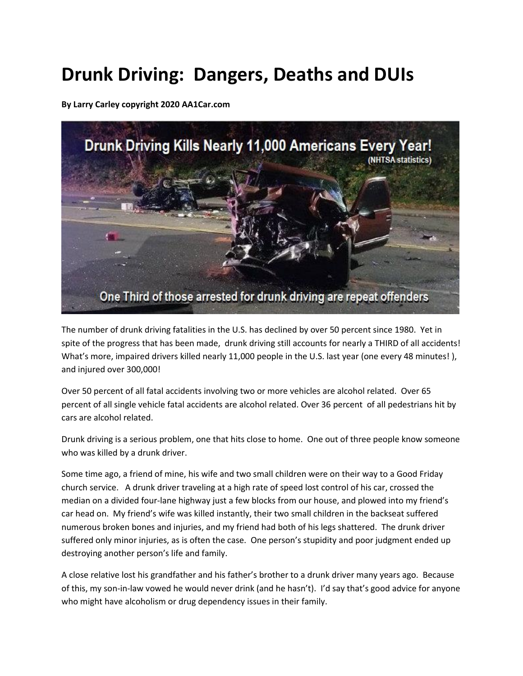# **Drunk Driving: Dangers, Deaths and DUIs**

**By Larry Carley copyright 2020 AA1Car.com**



The number of drunk driving fatalities in the U.S. has declined by over 50 percent since 1980. Yet in spite of the progress that has been made, drunk driving still accounts for nearly a THIRD of all accidents! What's more, impaired drivers killed nearly 11,000 people in the U.S. last year (one every 48 minutes!), and injured over 300,000!

Over 50 percent of all fatal accidents involving two or more vehicles are alcohol related. Over 65 percent of all single vehicle fatal accidents are alcohol related. Over 36 percent of all pedestrians hit by cars are alcohol related.

Drunk driving is a serious problem, one that hits close to home. One out of three people know someone who was killed by a drunk driver.

Some time ago, a friend of mine, his wife and two small children were on their way to a Good Friday church service. A drunk driver traveling at a high rate of speed lost control of his car, crossed the median on a divided four-lane highway just a few blocks from our house, and plowed into my friend's car head on. My friend's wife was killed instantly, their two small children in the backseat suffered numerous broken bones and injuries, and my friend had both of his legs shattered. The drunk driver suffered only minor injuries, as is often the case. One person's stupidity and poor judgment ended up destroying another person's life and family.

A close relative lost his grandfather and his father's brother to a drunk driver many years ago. Because of this, my son-in-law vowed he would never drink (and he hasn't). I'd say that's good advice for anyone who might have alcoholism or drug dependency issues in their family.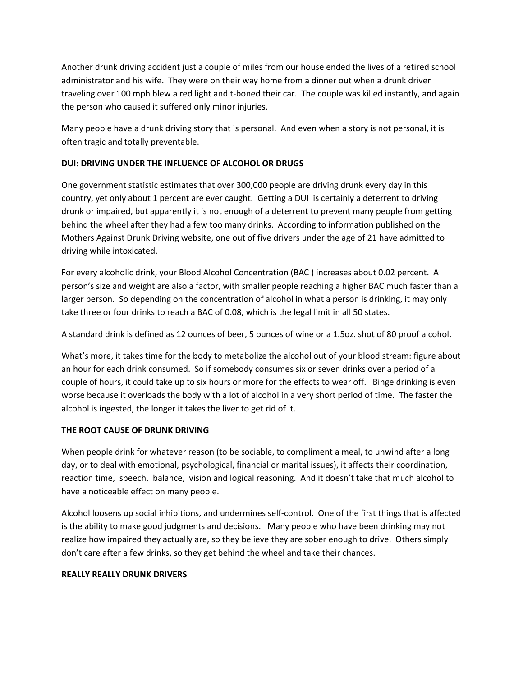Another drunk driving accident just a couple of miles from our house ended the lives of a retired school administrator and his wife. They were on their way home from a dinner out when a drunk driver traveling over 100 mph blew a red light and t-boned their car. The couple was killed instantly, and again the person who caused it suffered only minor injuries.

Many people have a drunk driving story that is personal. And even when a story is not personal, it is often tragic and totally preventable.

## **DUI: DRIVING UNDER THE INFLUENCE OF ALCOHOL OR DRUGS**

One government statistic estimates that over 300,000 people are driving drunk every day in this country, yet only about 1 percent are ever caught. Getting a DUI is certainly a deterrent to driving drunk or impaired, but apparently it is not enough of a deterrent to prevent many people from getting behind the wheel after they had a few too many drinks. According to information published on the Mothers Against Drunk Driving website, one out of five drivers under the age of 21 have admitted to driving while intoxicated.

For every alcoholic drink, your Blood Alcohol Concentration (BAC ) increases about 0.02 percent. A person's size and weight are also a factor, with smaller people reaching a higher BAC much faster than a larger person. So depending on the concentration of alcohol in what a person is drinking, it may only take three or four drinks to reach a BAC of 0.08, which is the legal limit in all 50 states.

A standard drink is defined as 12 ounces of beer, 5 ounces of wine or a 1.5oz. shot of 80 proof alcohol.

What's more, it takes time for the body to metabolize the alcohol out of your blood stream: figure about an hour for each drink consumed. So if somebody consumes six or seven drinks over a period of a couple of hours, it could take up to six hours or more for the effects to wear off. Binge drinking is even worse because it overloads the body with a lot of alcohol in a very short period of time. The faster the alcohol is ingested, the longer it takes the liver to get rid of it.

### **THE ROOT CAUSE OF DRUNK DRIVING**

When people drink for whatever reason (to be sociable, to compliment a meal, to unwind after a long day, or to deal with emotional, psychological, financial or marital issues), it affects their coordination, reaction time, speech, balance, vision and logical reasoning. And it doesn't take that much alcohol to have a noticeable effect on many people.

Alcohol loosens up social inhibitions, and undermines self-control. One of the first things that is affected is the ability to make good judgments and decisions. Many people who have been drinking may not realize how impaired they actually are, so they believe they are sober enough to drive. Others simply don't care after a few drinks, so they get behind the wheel and take their chances.

### **REALLY REALLY DRUNK DRIVERS**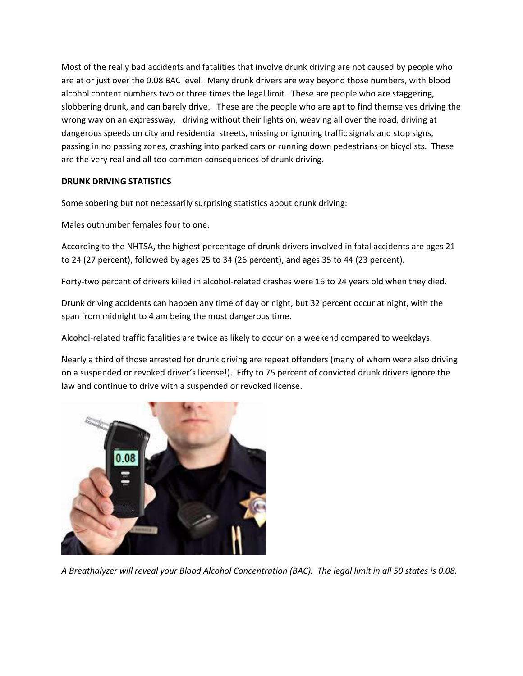Most of the really bad accidents and fatalities that involve drunk driving are not caused by people who are at or just over the 0.08 BAC level. Many drunk drivers are way beyond those numbers, with blood alcohol content numbers two or three times the legal limit. These are people who are staggering, slobbering drunk, and can barely drive. These are the people who are apt to find themselves driving the wrong way on an expressway, driving without their lights on, weaving all over the road, driving at dangerous speeds on city and residential streets, missing or ignoring traffic signals and stop signs, passing in no passing zones, crashing into parked cars or running down pedestrians or bicyclists. These are the very real and all too common consequences of drunk driving.

## **DRUNK DRIVING STATISTICS**

Some sobering but not necessarily surprising statistics about drunk driving:

Males outnumber females four to one.

According to the NHTSA, the highest percentage of drunk drivers involved in fatal accidents are ages 21 to 24 (27 percent), followed by ages 25 to 34 (26 percent), and ages 35 to 44 (23 percent).

Forty-two percent of drivers killed in alcohol-related crashes were 16 to 24 years old when they died.

Drunk driving accidents can happen any time of day or night, but 32 percent occur at night, with the span from midnight to 4 am being the most dangerous time.

Alcohol-related traffic fatalities are twice as likely to occur on a weekend compared to weekdays.

Nearly a third of those arrested for drunk driving are repeat offenders (many of whom were also driving on a suspended or revoked driver's license!). Fifty to 75 percent of convicted drunk drivers ignore the law and continue to drive with a suspended or revoked license.



*A Breathalyzer will reveal your Blood Alcohol Concentration (BAC). The legal limit in all 50 states is 0.08.*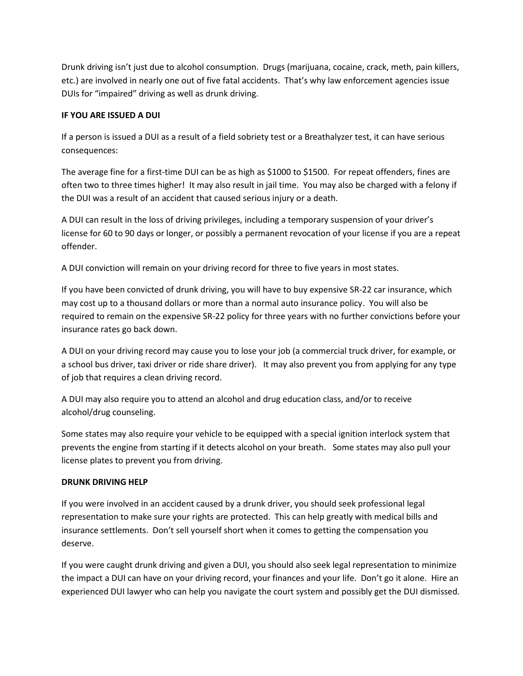Drunk driving isn't just due to alcohol consumption. Drugs (marijuana, cocaine, crack, meth, pain killers, etc.) are involved in nearly one out of five fatal accidents. That's why law enforcement agencies issue DUIs for "impaired" driving as well as drunk driving.

## **IF YOU ARE ISSUED A DUI**

If a person is issued a DUI as a result of a field sobriety test or a Breathalyzer test, it can have serious consequences:

The average fine for a first-time DUI can be as high as \$1000 to \$1500. For repeat offenders, fines are often two to three times higher! It may also result in jail time. You may also be charged with a felony if the DUI was a result of an accident that caused serious injury or a death.

A DUI can result in the loss of driving privileges, including a temporary suspension of your driver's license for 60 to 90 days or longer, or possibly a permanent revocation of your license if you are a repeat offender.

A DUI conviction will remain on your driving record for three to five years in most states.

If you have been convicted of drunk driving, you will have to buy expensive SR-22 car insurance, which may cost up to a thousand dollars or more than a normal auto insurance policy. You will also be required to remain on the expensive SR-22 policy for three years with no further convictions before your insurance rates go back down.

A DUI on your driving record may cause you to lose your job (a commercial truck driver, for example, or a school bus driver, taxi driver or ride share driver). It may also prevent you from applying for any type of job that requires a clean driving record.

A DUI may also require you to attend an alcohol and drug education class, and/or to receive alcohol/drug counseling.

Some states may also require your vehicle to be equipped with a special ignition interlock system that prevents the engine from starting if it detects alcohol on your breath. Some states may also pull your license plates to prevent you from driving.

# **DRUNK DRIVING HELP**

If you were involved in an accident caused by a drunk driver, you should seek professional legal representation to make sure your rights are protected. This can help greatly with medical bills and insurance settlements. Don't sell yourself short when it comes to getting the compensation you deserve.

If you were caught drunk driving and given a DUI, you should also seek legal representation to minimize the impact a DUI can have on your driving record, your finances and your life. Don't go it alone. Hire an experienced DUI lawyer who can help you navigate the court system and possibly get the DUI dismissed.